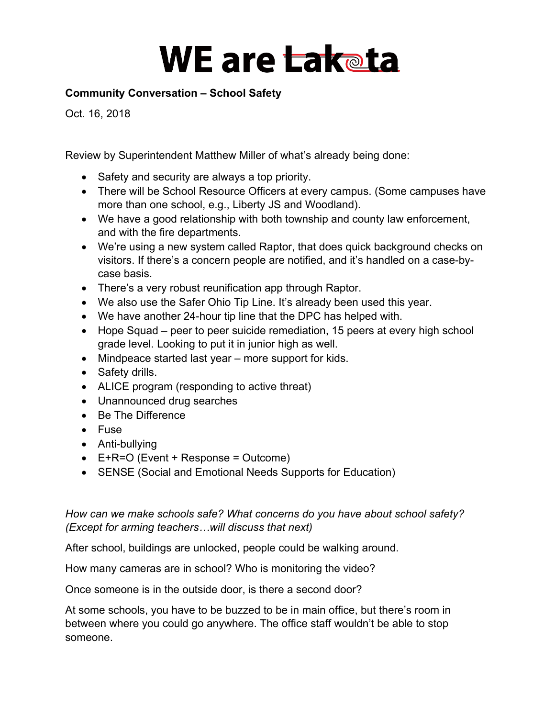### **Community Conversation – School Safety**

Oct. 16, 2018

Review by Superintendent Matthew Miller of what's already being done:

- Safety and security are always a top priority.
- There will be School Resource Officers at every campus. (Some campuses have more than one school, e.g., Liberty JS and Woodland).
- We have a good relationship with both township and county law enforcement, and with the fire departments.
- We're using a new system called Raptor, that does quick background checks on visitors. If there's a concern people are notified, and it's handled on a case-bycase basis.
- There's a very robust reunification app through Raptor.
- We also use the Safer Ohio Tip Line. It's already been used this year.
- We have another 24-hour tip line that the DPC has helped with.
- Hope Squad peer to peer suicide remediation, 15 peers at every high school grade level. Looking to put it in junior high as well.
- Mindpeace started last year more support for kids.
- Safety drills.
- ALICE program (responding to active threat)
- Unannounced drug searches
- Be The Difference
- Fuse
- Anti-bullying
- E+R=O (Event + Response = Outcome)
- SENSE (Social and Emotional Needs Supports for Education)

*How can we make schools safe? What concerns do you have about school safety? (Except for arming teachers…will discuss that next)*

After school, buildings are unlocked, people could be walking around.

How many cameras are in school? Who is monitoring the video?

Once someone is in the outside door, is there a second door?

At some schools, you have to be buzzed to be in main office, but there's room in between where you could go anywhere. The office staff wouldn't be able to stop someone.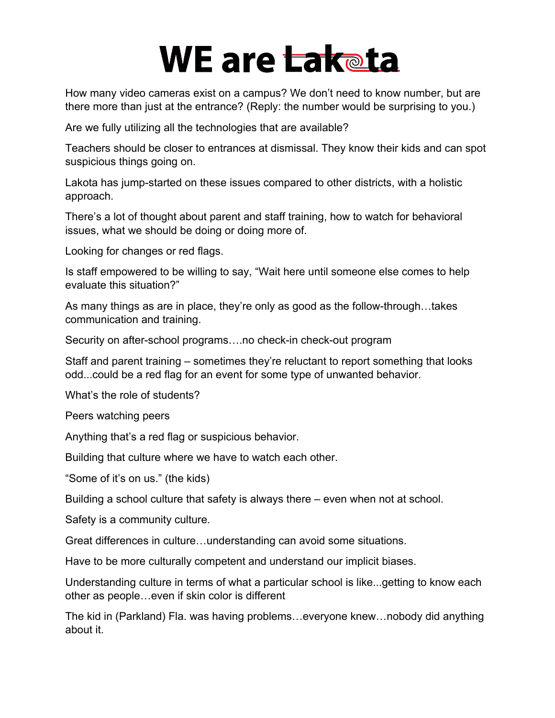How many video cameras exist on a campus? We don't need to know number, but are there more than just at the entrance? (Reply: the number would be surprising to you.)

Are we fully utilizing all the technologies that are available?

Teachers should be closer to entrances at dismissal. They know their kids and can spot suspicious things going on.

Lakota has jump-started on these issues compared to other districts, with a holistic approach.

There's a lot of thought about parent and staff training, how to watch for behavioral issues, what we should be doing or doing more of.

Looking for changes or red flags.

Is staff empowered to be willing to say, "Wait here until someone else comes to help evaluate this situation?"

As many things as are in place, they're only as good as the follow-through…takes communication and training.

Security on after-school programs….no check-in check-out program

Staff and parent training – sometimes they're reluctant to report something that looks odd...could be a red flag for an event for some type of unwanted behavior.

What's the role of students?

Peers watching peers

Anything that's a red flag or suspicious behavior.

Building that culture where we have to watch each other.

"Some of it's on us." (the kids)

Building a school culture that safety is always there – even when not at school.

Safety is a community culture.

Great differences in culture…understanding can avoid some situations.

Have to be more culturally competent and understand our implicit biases.

Understanding culture in terms of what a particular school is like...getting to know each other as people…even if skin color is different

The kid in (Parkland) Fla. was having problems…everyone knew…nobody did anything about it.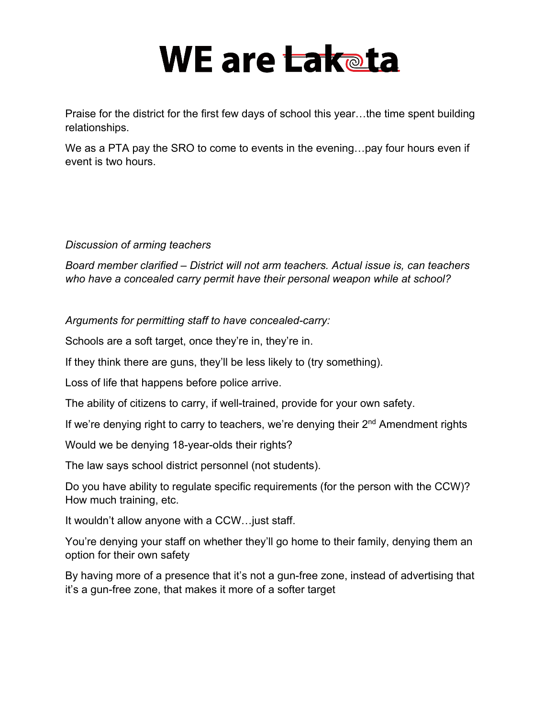Praise for the district for the first few days of school this year…the time spent building relationships.

We as a PTA pay the SRO to come to events in the evening…pay four hours even if event is two hours.

*Discussion of arming teachers*

*Board member clarified – District will not arm teachers. Actual issue is, can teachers who have a concealed carry permit have their personal weapon while at school?*

*Arguments for permitting staff to have concealed-carry:*

Schools are a soft target, once they're in, they're in.

If they think there are guns, they'll be less likely to (try something).

Loss of life that happens before police arrive.

The ability of citizens to carry, if well-trained, provide for your own safety.

If we're denying right to carry to teachers, we're denying their  $2<sup>nd</sup>$  Amendment rights

Would we be denying 18-year-olds their rights?

The law says school district personnel (not students).

Do you have ability to regulate specific requirements (for the person with the CCW)? How much training, etc.

It wouldn't allow anyone with a CCW…just staff.

You're denying your staff on whether they'll go home to their family, denying them an option for their own safety

By having more of a presence that it's not a gun-free zone, instead of advertising that it's a gun-free zone, that makes it more of a softer target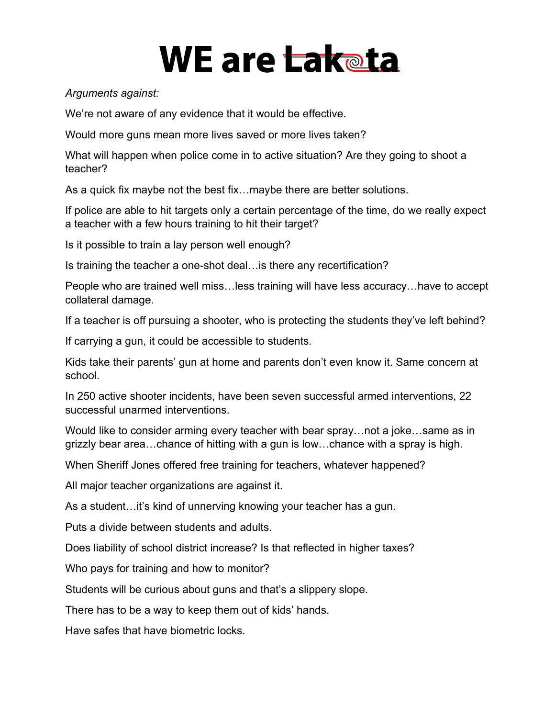#### *Arguments against:*

We're not aware of any evidence that it would be effective.

Would more guns mean more lives saved or more lives taken?

What will happen when police come in to active situation? Are they going to shoot a teacher?

As a quick fix maybe not the best fix…maybe there are better solutions.

If police are able to hit targets only a certain percentage of the time, do we really expect a teacher with a few hours training to hit their target?

Is it possible to train a lay person well enough?

Is training the teacher a one-shot deal…is there any recertification?

People who are trained well miss…less training will have less accuracy…have to accept collateral damage.

If a teacher is off pursuing a shooter, who is protecting the students they've left behind?

If carrying a gun, it could be accessible to students.

Kids take their parents' gun at home and parents don't even know it. Same concern at school.

In 250 active shooter incidents, have been seven successful armed interventions, 22 successful unarmed interventions.

Would like to consider arming every teacher with bear spray…not a joke…same as in grizzly bear area…chance of hitting with a gun is low…chance with a spray is high.

When Sheriff Jones offered free training for teachers, whatever happened?

All major teacher organizations are against it.

As a student…it's kind of unnerving knowing your teacher has a gun.

Puts a divide between students and adults.

Does liability of school district increase? Is that reflected in higher taxes?

Who pays for training and how to monitor?

Students will be curious about guns and that's a slippery slope.

There has to be a way to keep them out of kids' hands.

Have safes that have biometric locks.